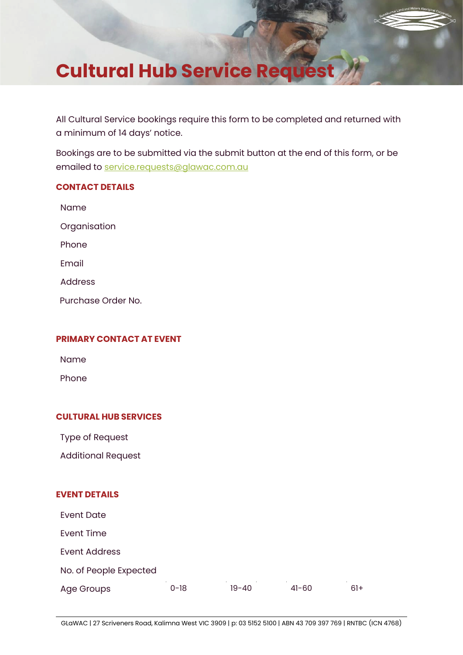# **Cultural Hub Service Request**

All Cultural Service bookings require this form to be completed and returned with a minimum of 14 days' notice.

Bookings are to be submitted via the submit button at the end of this form, or be emailed to [service.requests@glawac.com.au](mailto:service.requests@glawac.com.au)

# **CONTACT DETAILS**

Name **Organisation** Phone Email

Address

Purchase Order No.

# **PRIMARY CONTACT AT EVENT**

Name

Phone

# **CULTURAL HUB SERVICES**

Type of Request

Additional Request

# **EVENT DETAILS**

Event Date Event Time Event Address No. of People Expected Age Groups 0-18 19-40 41-60 61+